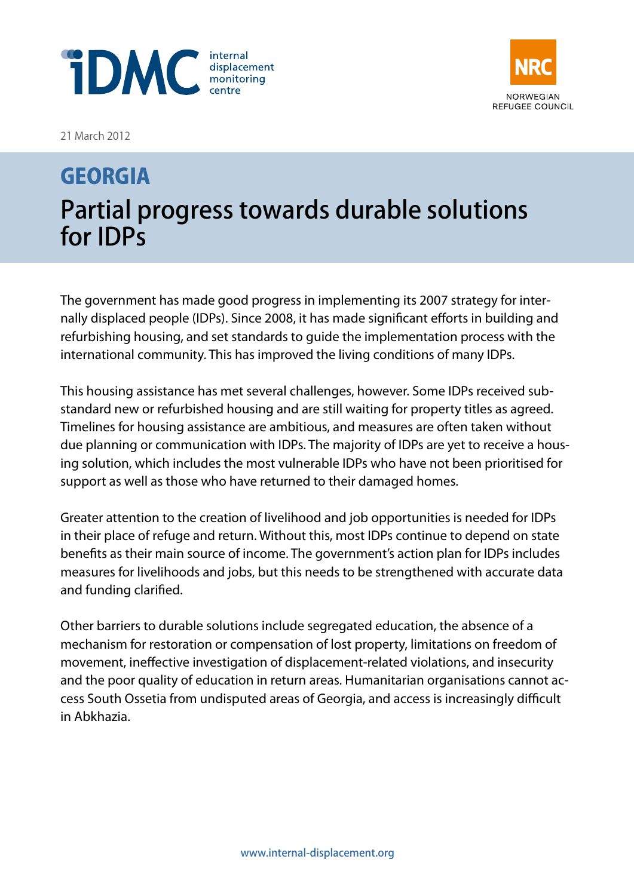



21 March 2012

# GEORGIA Partial progress towards durable solutions for IDPs

The government has made good progress in implementing its 2007 strategy for internally displaced people (IDPs). Since 2008, it has made significant efforts in building and refurbishing housing, and set standards to guide the implementation process with the international community. This has improved the living conditions of many IDPs.

This housing assistance has met several challenges, however. Some IDPs received substandard new or refurbished housing and are still waiting for property titles as agreed. Timelines for housing assistance are ambitious, and measures are often taken without due planning or communication with IDPs. The majority of IDPs are yet to receive a housing solution, which includes the most vulnerable IDPs who have not been prioritised for support as well as those who have returned to their damaged homes.

Greater attention to the creation of livelihood and job opportunities is needed for IDPs in their place of refuge and return. Without this, most IDPs continue to depend on state benefits as their main source of income. The government's action plan for IDPs includes measures for livelihoods and jobs, but this needs to be strengthened with accurate data and funding clarified.

Other barriers to durable solutions include segregated education, the absence of a mechanism for restoration or compensation of lost property, limitations on freedom of movement, ineffective investigation of displacement-related violations, and insecurity and the poor quality of education in return areas. Humanitarian organisations cannot access South Ossetia from undisputed areas of Georgia, and access is increasingly difficult in Abkhazia.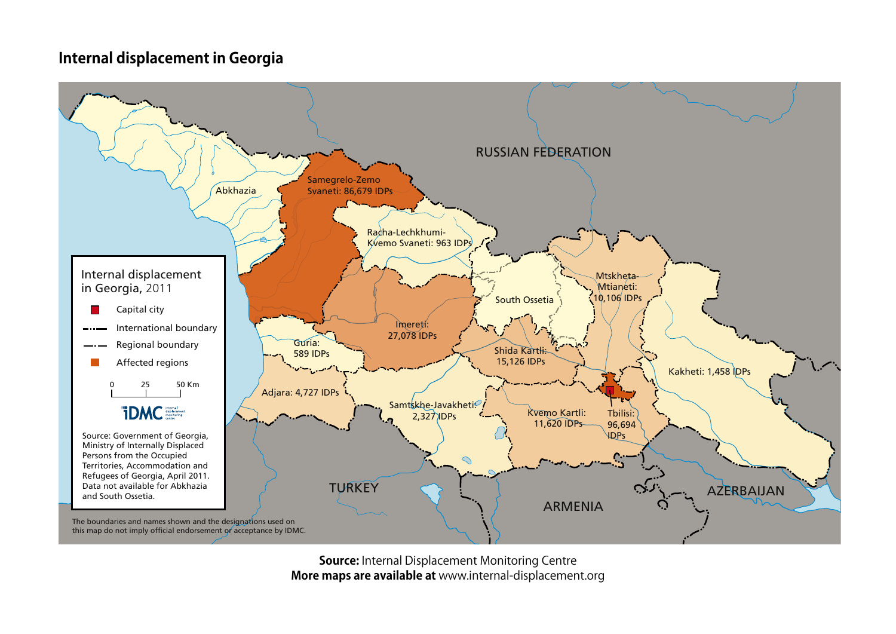### **Internal displacement in Georgia**



**Source:** Internal Displacement Monitoring Centre **More maps are available at** www.internal-displacement.org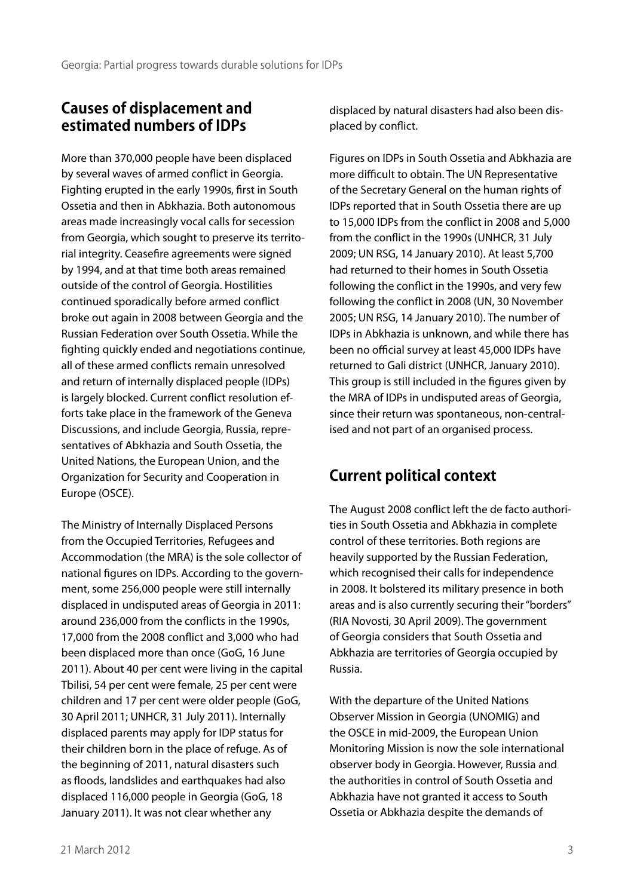### **Causes of displacement and estimated numbers of IDPs**

More than 370,000 people have been displaced by several waves of armed conflict in Georgia. Fighting erupted in the early 1990s, first in South Ossetia and then in Abkhazia. Both autonomous areas made increasingly vocal calls for secession from Georgia, which sought to preserve its territorial integrity. Ceasefire agreements were signed by 1994, and at that time both areas remained outside of the control of Georgia. Hostilities continued sporadically before armed conflict broke out again in 2008 between Georgia and the Russian Federation over South Ossetia. While the fighting quickly ended and negotiations continue, all of these armed conflicts remain unresolved and return of internally displaced people (IDPs) is largely blocked. Current conflict resolution efforts take place in the framework of the Geneva Discussions, and include Georgia, Russia, representatives of Abkhazia and South Ossetia, the United Nations, the European Union, and the Organization for Security and Cooperation in Europe (OSCE).

The Ministry of Internally Displaced Persons from the Occupied Territories, Refugees and Accommodation (the MRA) is the sole collector of national figures on IDPs. According to the government, some 256,000 people were still internally displaced in undisputed areas of Georgia in 2011: around 236,000 from the conflicts in the 1990s, 17,000 from the 2008 conflict and 3,000 who had been displaced more than once (GoG, 16 June 2011). About 40 per cent were living in the capital Tbilisi, 54 per cent were female, 25 per cent were children and 17 per cent were older people (GoG, 30 April 2011; UNHCR, 31 July 2011). Internally displaced parents may apply for IDP status for their children born in the place of refuge. As of the beginning of 2011, natural disasters such as floods, landslides and earthquakes had also displaced 116,000 people in Georgia (GoG, 18 January 2011). It was not clear whether any

displaced by natural disasters had also been displaced by conflict.

Figures on IDPs in South Ossetia and Abkhazia are more difficult to obtain. The UN Representative of the Secretary General on the human rights of IDPs reported that in South Ossetia there are up to 15,000 IDPs from the conflict in 2008 and 5,000 from the conflict in the 1990s (UNHCR, 31 July 2009; UN RSG, 14 January 2010). At least 5,700 had returned to their homes in South Ossetia following the conflict in the 1990s, and very few following the conflict in 2008 (UN, 30 November 2005; UN RSG, 14 January 2010). The number of IDPs in Abkhazia is unknown, and while there has been no official survey at least 45,000 IDPs have returned to Gali district (UNHCR, January 2010). This group is still included in the figures given by the MRA of IDPs in undisputed areas of Georgia, since their return was spontaneous, non-centralised and not part of an organised process.

# **Current political context**

The August 2008 conflict left the de facto authorities in South Ossetia and Abkhazia in complete control of these territories. Both regions are heavily supported by the Russian Federation, which recognised their calls for independence in 2008. It bolstered its military presence in both areas and is also currently securing their "borders" (RIA Novosti, 30 April 2009). The government of Georgia considers that South Ossetia and Abkhazia are territories of Georgia occupied by Russia.

With the departure of the United Nations Observer Mission in Georgia (UNOMIG) and the OSCE in mid-2009, the European Union Monitoring Mission is now the sole international observer body in Georgia. However, Russia and the authorities in control of South Ossetia and Abkhazia have not granted it access to South Ossetia or Abkhazia despite the demands of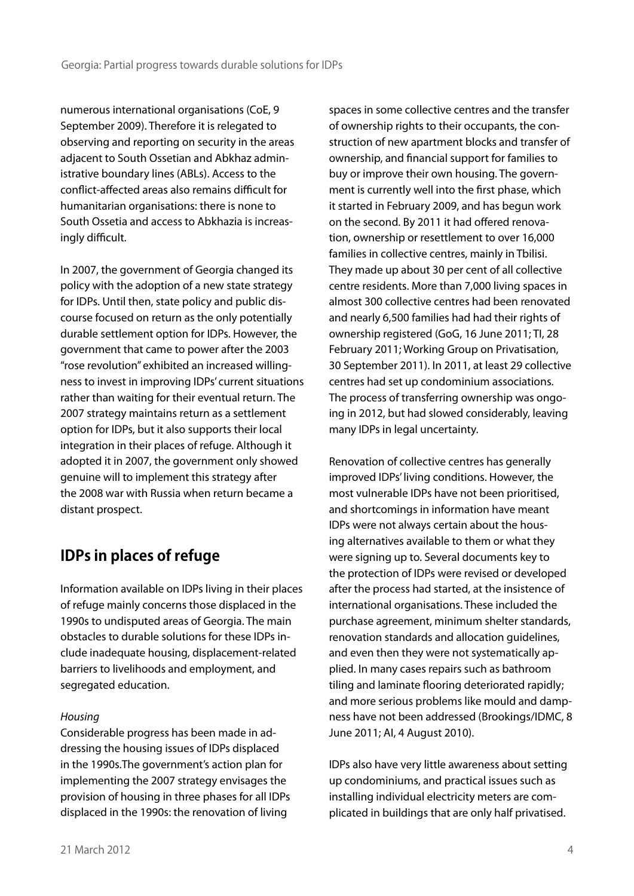numerous international organisations (CoE, 9 September 2009). Therefore it is relegated to observing and reporting on security in the areas adjacent to South Ossetian and Abkhaz administrative boundary lines (ABLs). Access to the conflict-affected areas also remains difficult for humanitarian organisations: there is none to South Ossetia and access to Abkhazia is increasingly difficult.

In 2007, the government of Georgia changed its policy with the adoption of a new state strategy for IDPs. Until then, state policy and public discourse focused on return as the only potentially durable settlement option for IDPs. However, the government that came to power after the 2003 "rose revolution" exhibited an increased willingness to invest in improving IDPs' current situations rather than waiting for their eventual return. The 2007 strategy maintains return as a settlement option for IDPs, but it also supports their local integration in their places of refuge. Although it adopted it in 2007, the government only showed genuine will to implement this strategy after the 2008 war with Russia when return became a distant prospect.

# **IDPs in places of refuge**

Information available on IDPs living in their places of refuge mainly concerns those displaced in the 1990s to undisputed areas of Georgia. The main obstacles to durable solutions for these IDPs include inadequate housing, displacement-related barriers to livelihoods and employment, and segregated education.

### *Housing*

Considerable progress has been made in addressing the housing issues of IDPs displaced in the 1990s.The government's action plan for implementing the 2007 strategy envisages the provision of housing in three phases for all IDPs displaced in the 1990s: the renovation of living

spaces in some collective centres and the transfer of ownership rights to their occupants, the construction of new apartment blocks and transfer of ownership, and financial support for families to buy or improve their own housing. The government is currently well into the first phase, which it started in February 2009, and has begun work on the second. By 2011 it had offered renovation, ownership or resettlement to over 16,000 families in collective centres, mainly in Tbilisi. They made up about 30 per cent of all collective centre residents. More than 7,000 living spaces in almost 300 collective centres had been renovated and nearly 6,500 families had had their rights of ownership registered (GoG, 16 June 2011; TI, 28 February 2011; Working Group on Privatisation, 30 September 2011). In 2011, at least 29 collective centres had set up condominium associations. The process of transferring ownership was ongoing in 2012, but had slowed considerably, leaving many IDPs in legal uncertainty.

Renovation of collective centres has generally improved IDPs' living conditions. However, the most vulnerable IDPs have not been prioritised, and shortcomings in information have meant IDPs were not always certain about the housing alternatives available to them or what they were signing up to. Several documents key to the protection of IDPs were revised or developed after the process had started, at the insistence of international organisations. These included the purchase agreement, minimum shelter standards, renovation standards and allocation guidelines, and even then they were not systematically applied. In many cases repairs such as bathroom tiling and laminate flooring deteriorated rapidly; and more serious problems like mould and dampness have not been addressed (Brookings/IDMC, 8 June 2011; AI, 4 August 2010).

IDPs also have very little awareness about setting up condominiums, and practical issues such as installing individual electricity meters are complicated in buildings that are only half privatised.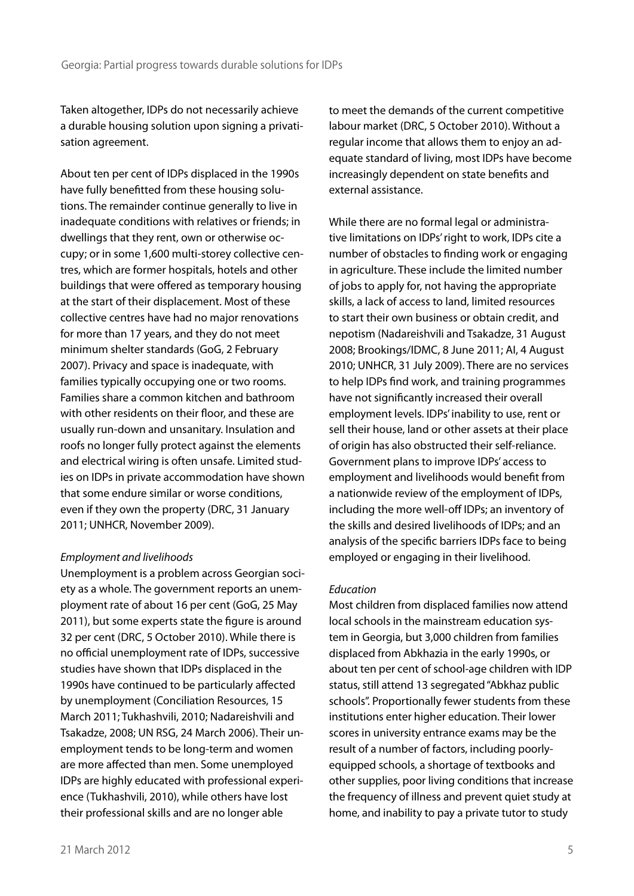Taken altogether, IDPs do not necessarily achieve a durable housing solution upon signing a privatisation agreement.

About ten per cent of IDPs displaced in the 1990s have fully benefitted from these housing solutions. The remainder continue generally to live in inadequate conditions with relatives or friends; in dwellings that they rent, own or otherwise occupy; or in some 1,600 multi-storey collective centres, which are former hospitals, hotels and other buildings that were offered as temporary housing at the start of their displacement. Most of these collective centres have had no major renovations for more than 17 years, and they do not meet minimum shelter standards (GoG, 2 February 2007). Privacy and space is inadequate, with families typically occupying one or two rooms. Families share a common kitchen and bathroom with other residents on their floor, and these are usually run-down and unsanitary. Insulation and roofs no longer fully protect against the elements and electrical wiring is often unsafe. Limited studies on IDPs in private accommodation have shown that some endure similar or worse conditions, even if they own the property (DRC, 31 January 2011; UNHCR, November 2009).

### *Employment and livelihoods*

Unemployment is a problem across Georgian society as a whole. The government reports an unemployment rate of about 16 per cent (GoG, 25 May 2011), but some experts state the figure is around 32 per cent (DRC, 5 October 2010). While there is no official unemployment rate of IDPs, successive studies have shown that IDPs displaced in the 1990s have continued to be particularly affected by unemployment (Conciliation Resources, 15 March 2011; Tukhashvili, 2010; Nadareishvili and Tsakadze, 2008; UN RSG, 24 March 2006). Their unemployment tends to be long-term and women are more affected than men. Some unemployed IDPs are highly educated with professional experience (Tukhashvili, 2010), while others have lost their professional skills and are no longer able

to meet the demands of the current competitive labour market (DRC, 5 October 2010). Without a regular income that allows them to enjoy an adequate standard of living, most IDPs have become increasingly dependent on state benefits and external assistance.

While there are no formal legal or administrative limitations on IDPs' right to work, IDPs cite a number of obstacles to finding work or engaging in agriculture. These include the limited number of jobs to apply for, not having the appropriate skills, a lack of access to land, limited resources to start their own business or obtain credit, and nepotism (Nadareishvili and Tsakadze, 31 August 2008; Brookings/IDMC, 8 June 2011; AI, 4 August 2010; UNHCR, 31 July 2009). There are no services to help IDPs find work, and training programmes have not significantly increased their overall employment levels. IDPs' inability to use, rent or sell their house, land or other assets at their place of origin has also obstructed their self-reliance. Government plans to improve IDPs' access to employment and livelihoods would benefit from a nationwide review of the employment of IDPs, including the more well-off IDPs; an inventory of the skills and desired livelihoods of IDPs; and an analysis of the specific barriers IDPs face to being employed or engaging in their livelihood.

### *Education*

Most children from displaced families now attend local schools in the mainstream education system in Georgia, but 3,000 children from families displaced from Abkhazia in the early 1990s, or about ten per cent of school-age children with IDP status, still attend 13 segregated "Abkhaz public schools". Proportionally fewer students from these institutions enter higher education. Their lower scores in university entrance exams may be the result of a number of factors, including poorlyequipped schools, a shortage of textbooks and other supplies, poor living conditions that increase the frequency of illness and prevent quiet study at home, and inability to pay a private tutor to study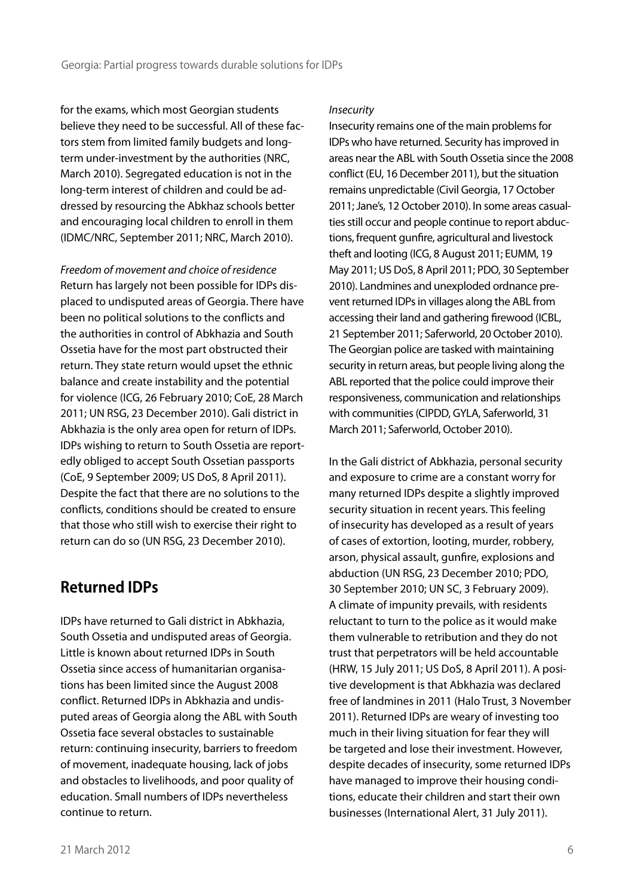for the exams, which most Georgian students believe they need to be successful. All of these factors stem from limited family budgets and longterm under-investment by the authorities (NRC, March 2010). Segregated education is not in the long-term interest of children and could be addressed by resourcing the Abkhaz schools better and encouraging local children to enroll in them (IDMC/NRC, September 2011; NRC, March 2010).

*Freedom of movement and choice of residence* Return has largely not been possible for IDPs displaced to undisputed areas of Georgia. There have been no political solutions to the conflicts and the authorities in control of Abkhazia and South Ossetia have for the most part obstructed their return. They state return would upset the ethnic balance and create instability and the potential for violence (ICG, 26 February 2010; CoE, 28 March 2011; UN RSG, 23 December 2010). Gali district in Abkhazia is the only area open for return of IDPs. IDPs wishing to return to South Ossetia are reportedly obliged to accept South Ossetian passports (CoE, 9 September 2009; US DoS, 8 April 2011). Despite the fact that there are no solutions to the conflicts, conditions should be created to ensure that those who still wish to exercise their right to return can do so (UN RSG, 23 December 2010).

# **Returned IDPs**

IDPs have returned to Gali district in Abkhazia, South Ossetia and undisputed areas of Georgia. Little is known about returned IDPs in South Ossetia since access of humanitarian organisations has been limited since the August 2008 conflict. Returned IDPs in Abkhazia and undisputed areas of Georgia along the ABL with South Ossetia face several obstacles to sustainable return: continuing insecurity, barriers to freedom of movement, inadequate housing, lack of jobs and obstacles to livelihoods, and poor quality of education. Small numbers of IDPs nevertheless continue to return.

#### *Insecurity*

Insecurity remains one of the main problems for IDPs who have returned. Security has improved in areas near the ABL with South Ossetia since the 2008 conflict (EU, 16 December 2011), but the situation remains unpredictable (Civil Georgia, 17 October 2011; Jane's, 12 October 2010). In some areas casualties still occur and people continue to report abductions, frequent gunfire, agricultural and livestock theft and looting (ICG, 8 August 2011; EUMM, 19 May 2011; US DoS, 8 April 2011; PDO, 30 September 2010). Landmines and unexploded ordnance prevent returned IDPs in villages along the ABL from accessing their land and gathering firewood (ICBL, 21 September 2011; Saferworld, 20 October 2010). The Georgian police are tasked with maintaining security in return areas, but people living along the ABL reported that the police could improve their responsiveness, communication and relationships with communities (CIPDD, GYLA, Saferworld, 31 March 2011; Saferworld, October 2010).

In the Gali district of Abkhazia, personal security and exposure to crime are a constant worry for many returned IDPs despite a slightly improved security situation in recent years. This feeling of insecurity has developed as a result of years of cases of extortion, looting, murder, robbery, arson, physical assault, gunfire, explosions and abduction (UN RSG, 23 December 2010; PDO, 30 September 2010; UN SC, 3 February 2009). A climate of impunity prevails, with residents reluctant to turn to the police as it would make them vulnerable to retribution and they do not trust that perpetrators will be held accountable (HRW, 15 July 2011; US DoS, 8 April 2011). A positive development is that Abkhazia was declared free of landmines in 2011 (Halo Trust, 3 November 2011). Returned IDPs are weary of investing too much in their living situation for fear they will be targeted and lose their investment. However, despite decades of insecurity, some returned IDPs have managed to improve their housing conditions, educate their children and start their own businesses (International Alert, 31 July 2011).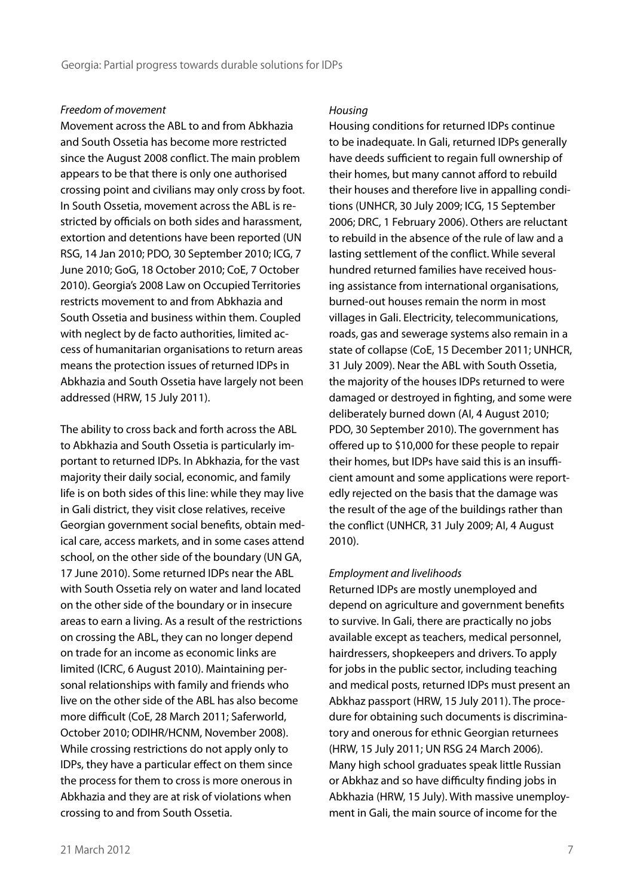#### *Freedom of movement*

Movement across the ABL to and from Abkhazia and South Ossetia has become more restricted since the August 2008 conflict. The main problem appears to be that there is only one authorised crossing point and civilians may only cross by foot. In South Ossetia, movement across the ABL is restricted by officials on both sides and harassment, extortion and detentions have been reported (UN RSG, 14 Jan 2010; PDO, 30 September 2010; ICG, 7 June 2010; GoG, 18 October 2010; CoE, 7 October 2010). Georgia's 2008 Law on Occupied Territories restricts movement to and from Abkhazia and South Ossetia and business within them. Coupled with neglect by de facto authorities, limited access of humanitarian organisations to return areas means the protection issues of returned IDPs in Abkhazia and South Ossetia have largely not been addressed (HRW, 15 July 2011).

The ability to cross back and forth across the ABL to Abkhazia and South Ossetia is particularly important to returned IDPs. In Abkhazia, for the vast majority their daily social, economic, and family life is on both sides of this line: while they may live in Gali district, they visit close relatives, receive Georgian government social benefits, obtain medical care, access markets, and in some cases attend school, on the other side of the boundary (UN GA, 17 June 2010). Some returned IDPs near the ABL with South Ossetia rely on water and land located on the other side of the boundary or in insecure areas to earn a living. As a result of the restrictions on crossing the ABL, they can no longer depend on trade for an income as economic links are limited (ICRC, 6 August 2010). Maintaining personal relationships with family and friends who live on the other side of the ABL has also become more difficult (CoE, 28 March 2011; Saferworld, October 2010; ODIHR/HCNM, November 2008). While crossing restrictions do not apply only to IDPs, they have a particular effect on them since the process for them to cross is more onerous in Abkhazia and they are at risk of violations when crossing to and from South Ossetia.

#### *Housing*

Housing conditions for returned IDPs continue to be inadequate. In Gali, returned IDPs generally have deeds sufficient to regain full ownership of their homes, but many cannot afford to rebuild their houses and therefore live in appalling conditions (UNHCR, 30 July 2009; ICG, 15 September 2006; DRC, 1 February 2006). Others are reluctant to rebuild in the absence of the rule of law and a lasting settlement of the conflict. While several hundred returned families have received housing assistance from international organisations, burned-out houses remain the norm in most villages in Gali. Electricity, telecommunications, roads, gas and sewerage systems also remain in a state of collapse (CoE, 15 December 2011; UNHCR, 31 July 2009). Near the ABL with South Ossetia, the majority of the houses IDPs returned to were damaged or destroyed in fighting, and some were deliberately burned down (AI, 4 August 2010; PDO, 30 September 2010). The government has offered up to \$10,000 for these people to repair their homes, but IDPs have said this is an insufficient amount and some applications were reportedly rejected on the basis that the damage was the result of the age of the buildings rather than the conflict (UNHCR, 31 July 2009; AI, 4 August 2010).

#### *Employment and livelihoods*

Returned IDPs are mostly unemployed and depend on agriculture and government benefits to survive. In Gali, there are practically no jobs available except as teachers, medical personnel, hairdressers, shopkeepers and drivers. To apply for jobs in the public sector, including teaching and medical posts, returned IDPs must present an Abkhaz passport (HRW, 15 July 2011). The procedure for obtaining such documents is discriminatory and onerous for ethnic Georgian returnees (HRW, 15 July 2011; UN RSG 24 March 2006). Many high school graduates speak little Russian or Abkhaz and so have difficulty finding jobs in Abkhazia (HRW, 15 July). With massive unemployment in Gali, the main source of income for the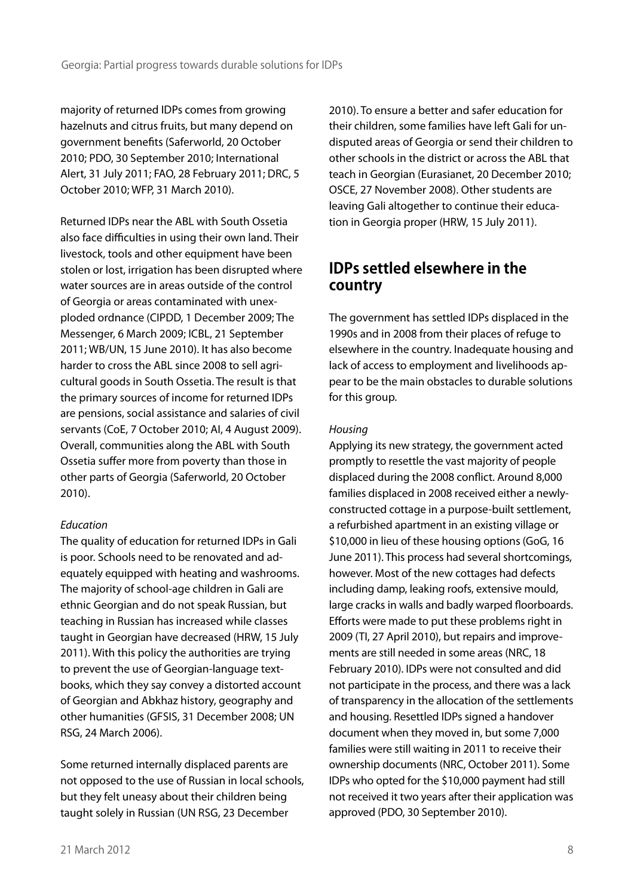majority of returned IDPs comes from growing hazelnuts and citrus fruits, but many depend on government benefits (Saferworld, 20 October 2010; PDO, 30 September 2010; International Alert, 31 July 2011; FAO, 28 February 2011; DRC, 5 October 2010; WFP, 31 March 2010).

Returned IDPs near the ABL with South Ossetia also face difficulties in using their own land. Their livestock, tools and other equipment have been stolen or lost, irrigation has been disrupted where water sources are in areas outside of the control of Georgia or areas contaminated with unexploded ordnance (CIPDD, 1 December 2009; The Messenger, 6 March 2009; ICBL, 21 September 2011; WB/UN, 15 June 2010). It has also become harder to cross the ABL since 2008 to sell agricultural goods in South Ossetia. The result is that the primary sources of income for returned IDPs are pensions, social assistance and salaries of civil servants (CoE, 7 October 2010; AI, 4 August 2009). Overall, communities along the ABL with South Ossetia suffer more from poverty than those in other parts of Georgia (Saferworld, 20 October 2010).

### *Education*

The quality of education for returned IDPs in Gali is poor. Schools need to be renovated and adequately equipped with heating and washrooms. The majority of school-age children in Gali are ethnic Georgian and do not speak Russian, but teaching in Russian has increased while classes taught in Georgian have decreased (HRW, 15 July 2011). With this policy the authorities are trying to prevent the use of Georgian-language textbooks, which they say convey a distorted account of Georgian and Abkhaz history, geography and other humanities (GFSIS, 31 December 2008; UN RSG, 24 March 2006).

Some returned internally displaced parents are not opposed to the use of Russian in local schools, but they felt uneasy about their children being taught solely in Russian (UN RSG, 23 December

2010). To ensure a better and safer education for their children, some families have left Gali for undisputed areas of Georgia or send their children to other schools in the district or across the ABL that teach in Georgian (Eurasianet, 20 December 2010; OSCE, 27 November 2008). Other students are leaving Gali altogether to continue their education in Georgia proper (HRW, 15 July 2011).

# **IDPs settled elsewhere in the country**

The government has settled IDPs displaced in the 1990s and in 2008 from their places of refuge to elsewhere in the country. Inadequate housing and lack of access to employment and livelihoods appear to be the main obstacles to durable solutions for this group.

### *Housing*

Applying its new strategy, the government acted promptly to resettle the vast majority of people displaced during the 2008 conflict. Around 8,000 families displaced in 2008 received either a newlyconstructed cottage in a purpose-built settlement, a refurbished apartment in an existing village or \$10,000 in lieu of these housing options (GoG, 16 June 2011). This process had several shortcomings, however. Most of the new cottages had defects including damp, leaking roofs, extensive mould, large cracks in walls and badly warped floorboards. Efforts were made to put these problems right in 2009 (TI, 27 April 2010), but repairs and improvements are still needed in some areas (NRC, 18 February 2010). IDPs were not consulted and did not participate in the process, and there was a lack of transparency in the allocation of the settlements and housing. Resettled IDPs signed a handover document when they moved in, but some 7,000 families were still waiting in 2011 to receive their ownership documents (NRC, October 2011). Some IDPs who opted for the \$10,000 payment had still not received it two years after their application was approved (PDO, 30 September 2010).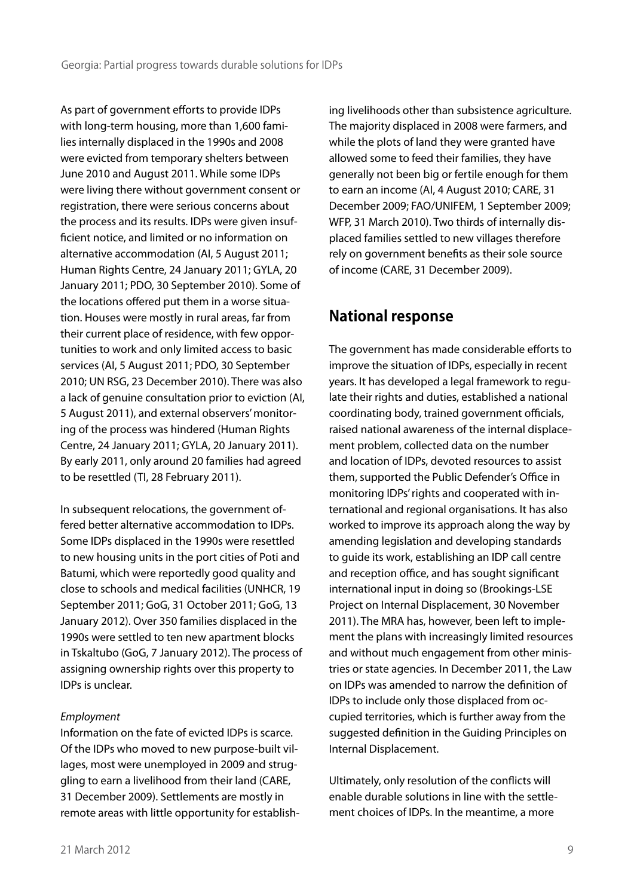As part of government efforts to provide IDPs with long-term housing, more than 1,600 families internally displaced in the 1990s and 2008 were evicted from temporary shelters between June 2010 and August 2011. While some IDPs were living there without government consent or registration, there were serious concerns about the process and its results. IDPs were given insufficient notice, and limited or no information on alternative accommodation (AI, 5 August 2011; Human Rights Centre, 24 January 2011; GYLA, 20 January 2011; PDO, 30 September 2010). Some of the locations offered put them in a worse situation. Houses were mostly in rural areas, far from their current place of residence, with few opportunities to work and only limited access to basic services (AI, 5 August 2011; PDO, 30 September 2010; UN RSG, 23 December 2010). There was also a lack of genuine consultation prior to eviction (AI, 5 August 2011), and external observers' monitoring of the process was hindered (Human Rights Centre, 24 January 2011; GYLA, 20 January 2011). By early 2011, only around 20 families had agreed to be resettled (TI, 28 February 2011).

In subsequent relocations, the government offered better alternative accommodation to IDPs. Some IDPs displaced in the 1990s were resettled to new housing units in the port cities of Poti and Batumi, which were reportedly good quality and close to schools and medical facilities (UNHCR, 19 September 2011; GoG, 31 October 2011; GoG, 13 January 2012). Over 350 families displaced in the 1990s were settled to ten new apartment blocks in Tskaltubo (GoG, 7 January 2012). The process of assigning ownership rights over this property to IDPs is unclear.

### *Employment*

Information on the fate of evicted IDPs is scarce. Of the IDPs who moved to new purpose-built villages, most were unemployed in 2009 and struggling to earn a livelihood from their land (CARE, 31 December 2009). Settlements are mostly in remote areas with little opportunity for establish-

ing livelihoods other than subsistence agriculture. The majority displaced in 2008 were farmers, and while the plots of land they were granted have allowed some to feed their families, they have generally not been big or fertile enough for them to earn an income (AI, 4 August 2010; CARE, 31 December 2009; FAO/UNIFEM, 1 September 2009; WFP, 31 March 2010). Two thirds of internally displaced families settled to new villages therefore rely on government benefits as their sole source of income (CARE, 31 December 2009).

## **National response**

The government has made considerable efforts to improve the situation of IDPs, especially in recent years. It has developed a legal framework to regulate their rights and duties, established a national coordinating body, trained government officials, raised national awareness of the internal displacement problem, collected data on the number and location of IDPs, devoted resources to assist them, supported the Public Defender's Office in monitoring IDPs' rights and cooperated with international and regional organisations. It has also worked to improve its approach along the way by amending legislation and developing standards to guide its work, establishing an IDP call centre and reception office, and has sought significant international input in doing so (Brookings-LSE Project on Internal Displacement, 30 November 2011). The MRA has, however, been left to implement the plans with increasingly limited resources and without much engagement from other ministries or state agencies. In December 2011, the Law on IDPs was amended to narrow the definition of IDPs to include only those displaced from occupied territories, which is further away from the suggested definition in the Guiding Principles on Internal Displacement.

Ultimately, only resolution of the conflicts will enable durable solutions in line with the settlement choices of IDPs. In the meantime, a more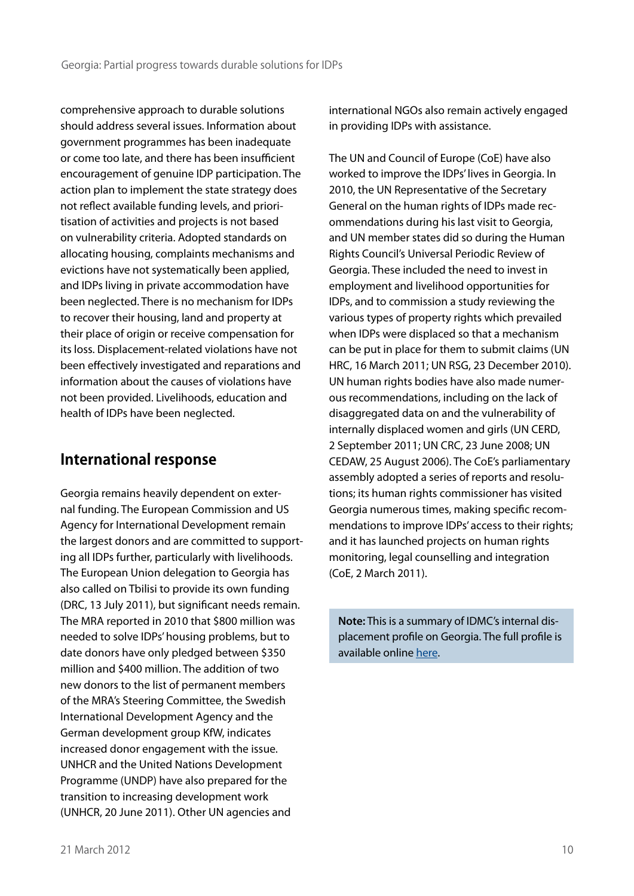comprehensive approach to durable solutions should address several issues. Information about government programmes has been inadequate or come too late, and there has been insufficient encouragement of genuine IDP participation. The action plan to implement the state strategy does not reflect available funding levels, and prioritisation of activities and projects is not based on vulnerability criteria. Adopted standards on allocating housing, complaints mechanisms and evictions have not systematically been applied, and IDPs living in private accommodation have been neglected. There is no mechanism for IDPs to recover their housing, land and property at their place of origin or receive compensation for its loss. Displacement-related violations have not been effectively investigated and reparations and information about the causes of violations have not been provided. Livelihoods, education and health of IDPs have been neglected.

### **International response**

Georgia remains heavily dependent on external funding. The European Commission and US Agency for International Development remain the largest donors and are committed to supporting all IDPs further, particularly with livelihoods. The European Union delegation to Georgia has also called on Tbilisi to provide its own funding (DRC, 13 July 2011), but significant needs remain. The MRA reported in 2010 that \$800 million was needed to solve IDPs' housing problems, but to date donors have only pledged between \$350 million and \$400 million. The addition of two new donors to the list of permanent members of the MRA's Steering Committee, the Swedish International Development Agency and the German development group KfW, indicates increased donor engagement with the issue. UNHCR and the United Nations Development Programme (UNDP) have also prepared for the transition to increasing development work (UNHCR, 20 June 2011). Other UN agencies and

international NGOs also remain actively engaged in providing IDPs with assistance.

The UN and Council of Europe (CoE) have also worked to improve the IDPs' lives in Georgia. In 2010, the UN Representative of the Secretary General on the human rights of IDPs made recommendations during his last visit to Georgia, and UN member states did so during the Human Rights Council's Universal Periodic Review of Georgia. These included the need to invest in employment and livelihood opportunities for IDPs, and to commission a study reviewing the various types of property rights which prevailed when IDPs were displaced so that a mechanism can be put in place for them to submit claims (UN HRC, 16 March 2011; UN RSG, 23 December 2010). UN human rights bodies have also made numerous recommendations, including on the lack of disaggregated data on and the vulnerability of internally displaced women and girls (UN CERD, 2 September 2011; UN CRC, 23 June 2008; UN CEDAW, 25 August 2006). The CoE's parliamentary assembly adopted a series of reports and resolutions; its human rights commissioner has visited Georgia numerous times, making specific recommendations to improve IDPs' access to their rights; and it has launched projects on human rights monitoring, legal counselling and integration (CoE, 2 March 2011).

**Note:** This is a summary of IDMC's internal displacement profile on Georgia. The full profile is available online [here.](http://www.internal-displacement.org/countries/georgia)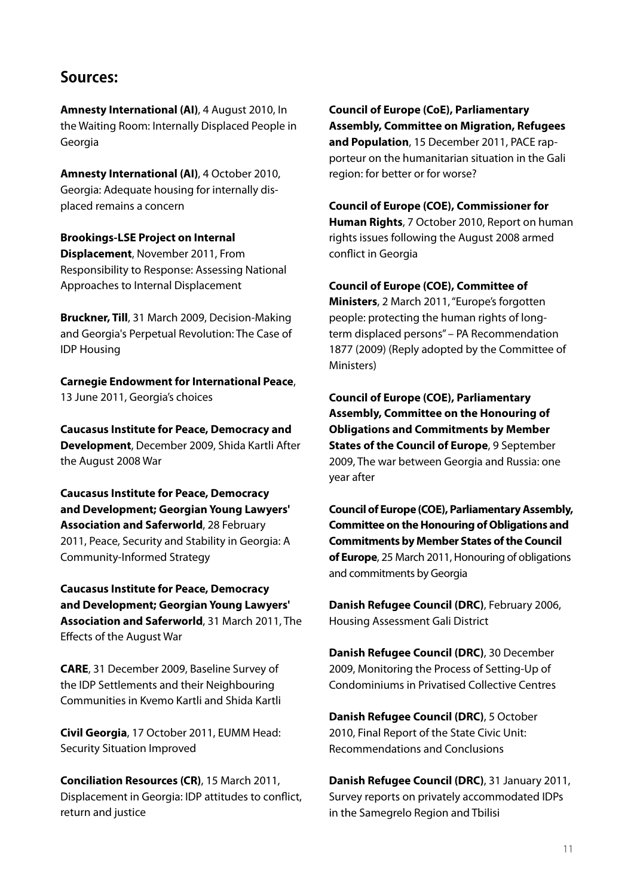### **Sources:**

**[Amnesty International \(AI\)](http://www.internal-displacement.org/8025708F004CE90B/%28httpDocuments%29/8E85B30DE5D49530C125777700401E42/$file/Amnesty+2010.pdf)**, 4 August 2010, In [the Waiting Room: Internally Displaced People in](http://www.internal-displacement.org/8025708F004CE90B/%28httpDocuments%29/8E85B30DE5D49530C125777700401E42/$file/Amnesty+2010.pdf)  [Georgia](http://www.internal-displacement.org/8025708F004CE90B/%28httpDocuments%29/8E85B30DE5D49530C125777700401E42/$file/Amnesty+2010.pdf)

**[Amnesty International \(AI\)](http://www.amnesty.org/en/library/asset/EUR56/006/2010/en/b8e3b340-cce2-4fac-a1a6-3267be5ffc54/eur560062010en.pdf)**, 4 October 2010, [Georgia: Adequate housing for internally dis](http://www.amnesty.org/en/library/asset/EUR56/006/2010/en/b8e3b340-cce2-4fac-a1a6-3267be5ffc54/eur560062010en.pdf)[placed remains a concern](http://www.amnesty.org/en/library/asset/EUR56/006/2010/en/b8e3b340-cce2-4fac-a1a6-3267be5ffc54/eur560062010en.pdf)

**[Brookings-LSE Project on Internal](http://www.internal-displacement.org/8025708F004CE90B/%28httpDocuments%29/4F959F80794912FCC12579600040BB5B/$file/From+Responsbility+to+Response+Nov+2011doc.pdf)  Displacement**[, November 2011, From](http://www.internal-displacement.org/8025708F004CE90B/%28httpDocuments%29/4F959F80794912FCC12579600040BB5B/$file/From+Responsbility+to+Response+Nov+2011doc.pdf)  [Responsibility to Response: Assessing National](http://www.internal-displacement.org/8025708F004CE90B/%28httpDocuments%29/4F959F80794912FCC12579600040BB5B/$file/From+Responsbility+to+Response+Nov+2011doc.pdf)  [Approaches to Internal Displacement](http://www.internal-displacement.org/8025708F004CE90B/%28httpDocuments%29/4F959F80794912FCC12579600040BB5B/$file/From+Responsbility+to+Response+Nov+2011doc.pdf)

**Bruckner, Till**[, 31 March 2009, Decision-Making](http://www.internal-displacement.org/8025708F004CE90B/%28httpDocuments%29/94A13D37EFEFE842C1257969004E0317/$file/Bruckner+Housing.pdf)  [and Georgia's Perpetual Revolution: The Case of](http://www.internal-displacement.org/8025708F004CE90B/%28httpDocuments%29/94A13D37EFEFE842C1257969004E0317/$file/Bruckner+Housing.pdf)  [IDP Housing](http://www.internal-displacement.org/8025708F004CE90B/%28httpDocuments%29/94A13D37EFEFE842C1257969004E0317/$file/Bruckner+Housing.pdf)

**[Carnegie Endowment for International Peace](http://carnegieendowment.org/files/georgias_choices.pdf)**, [13 June 2011, Georgia's choices](http://carnegieendowment.org/files/georgias_choices.pdf)

**[Caucasus Institute for Peace, Democracy and](http://www.internal-displacement.org/8025708F004CE90B/%28httpDocuments%29/08882ECA80FF70B4C1257724006489E5/$file/CIPDD_ShidaKartliAfterT#138.pdf)  Development**[, December 2009, Shida Kartli After](http://www.internal-displacement.org/8025708F004CE90B/%28httpDocuments%29/08882ECA80FF70B4C1257724006489E5/$file/CIPDD_ShidaKartliAfterT#138.pdf)  [the August 2008 War](http://www.internal-displacement.org/8025708F004CE90B/%28httpDocuments%29/08882ECA80FF70B4C1257724006489E5/$file/CIPDD_ShidaKartliAfterT#138.pdf)

**[Caucasus Institute for Peace, Democracy](http://www.gyla.ge/attachments/782_national strategy_en_full.pdf)  [and Development; Georgian Young Lawyers'](http://www.gyla.ge/attachments/782_national strategy_en_full.pdf)  [Association and Saferworld](http://www.gyla.ge/attachments/782_national strategy_en_full.pdf)**, 28 February [2011, Peace, Security and Stability in Georgia: A](http://www.gyla.ge/attachments/782_national strategy_en_full.pdf)  [Community-Informed Strategy](http://www.gyla.ge/attachments/782_national strategy_en_full.pdf)

**[Caucasus Institute for Peace, Democracy](http://www.saferworld.org.uk/downloads/pubdocs/The Effects of the August War_FINAL_April_English_lr.pdf)  [and Development; Georgian Young Lawyers'](http://www.saferworld.org.uk/downloads/pubdocs/The Effects of the August War_FINAL_April_English_lr.pdf)  [Association and Saferworld](http://www.saferworld.org.uk/downloads/pubdocs/The Effects of the August War_FINAL_April_English_lr.pdf)**, 31 March 2011, The [Effects of the August War](http://www.saferworld.org.uk/downloads/pubdocs/The Effects of the August War_FINAL_April_English_lr.pdf)

**CARE**[, 31 December 2009, Baseline Survey of](http://www.geowel.org/files/idp_research_geowel_2010_full_eng.pdf)  [the IDP Settlements and their Neighbouring](http://www.geowel.org/files/idp_research_geowel_2010_full_eng.pdf)  [Communities in Kvemo Kartli and Shida Kartli](http://www.geowel.org/files/idp_research_geowel_2010_full_eng.pdf)

**Civil Georgia**[, 17 October 2011, EUMM Head:](http://www.civil.ge/eng/article.php?id=24041)  [Security Situation Improved](http://www.civil.ge/eng/article.php?id=24041)

**[Conciliation Resources \(CR\)](http://www.c-r.org/our-work/caucasus/documents/IDPs_2011/IDPs In Georgia study_final 16March11_lowres.pdf)**, 15 March 2011, [Displacement in Georgia: IDP attitudes to conflict,](http://www.c-r.org/our-work/caucasus/documents/IDPs_2011/IDPs In Georgia study_final 16March11_lowres.pdf)  [return and justice](http://www.c-r.org/our-work/caucasus/documents/IDPs_2011/IDPs In Georgia study_final 16March11_lowres.pdf)

**[Council of Europe \(CoE\), Parliamentary](http://assembly.coe.int/ASP/NewsManager/EMB_NewsManagerView.asp?ID=7271&L=2)  [Assembly, Committee on Migration, Refugees](http://assembly.coe.int/ASP/NewsManager/EMB_NewsManagerView.asp?ID=7271&L=2)  and Population**[, 15 December 2011, PACE rap](http://assembly.coe.int/ASP/NewsManager/EMB_NewsManagerView.asp?ID=7271&L=2)[porteur on the humanitarian situation in the Gali](http://assembly.coe.int/ASP/NewsManager/EMB_NewsManagerView.asp?ID=7271&L=2)  [region: for better or for worse?](http://assembly.coe.int/ASP/NewsManager/EMB_NewsManagerView.asp?ID=7271&L=2)

**[Council of Europe \(COE\), Commissioner for](http://https:/wcd.coe.int/wcd/ViewDoc.jsp?id=1680719&Site=CommDH&BackColorInternet=FEC65B&BackColorIntranet=FEC65B&BackColorLogged=FFC679)  Human Rights**[, 7 October 2010, Report on human](http://https:/wcd.coe.int/wcd/ViewDoc.jsp?id=1680719&Site=CommDH&BackColorInternet=FEC65B&BackColorIntranet=FEC65B&BackColorLogged=FFC679)  [rights issues following the August 2008 armed](http://https:/wcd.coe.int/wcd/ViewDoc.jsp?id=1680719&Site=CommDH&BackColorInternet=FEC65B&BackColorIntranet=FEC65B&BackColorLogged=FFC679)  [conflict in Georgia](http://https:/wcd.coe.int/wcd/ViewDoc.jsp?id=1680719&Site=CommDH&BackColorInternet=FEC65B&BackColorIntranet=FEC65B&BackColorLogged=FFC679)

**[Council of Europe \(COE\), Committee of](http://https:/wcd.coe.int/ViewDoc.jsp?id=1754657&Site=CM)  Ministers**[, 2 March 2011, "Europe's forgotten](http://https:/wcd.coe.int/ViewDoc.jsp?id=1754657&Site=CM)  [people: protecting the human rights of long](http://https:/wcd.coe.int/ViewDoc.jsp?id=1754657&Site=CM)[term displaced persons" – PA Recommendation](http://https:/wcd.coe.int/ViewDoc.jsp?id=1754657&Site=CM)  [1877 \(2009\) \(Reply adopted by the Committee of](http://https:/wcd.coe.int/ViewDoc.jsp?id=1754657&Site=CM)  [Ministers\)](http://https:/wcd.coe.int/ViewDoc.jsp?id=1754657&Site=CM)

**[Council of Europe \(COE\), Parliamentary](http://www.internal-displacement.org/8025708F004CE90B/%28httpDocuments%29/1FD8756637082DABC125762E005A8A3D/$file/20090909RussiaGeorgia+CoE.pdf)  [Assembly, Committee on the Honouring of](http://www.internal-displacement.org/8025708F004CE90B/%28httpDocuments%29/1FD8756637082DABC125762E005A8A3D/$file/20090909RussiaGeorgia+CoE.pdf)  [Obligations and Commitments by Member](http://www.internal-displacement.org/8025708F004CE90B/%28httpDocuments%29/1FD8756637082DABC125762E005A8A3D/$file/20090909RussiaGeorgia+CoE.pdf)  [States of the Council of Europe](http://www.internal-displacement.org/8025708F004CE90B/%28httpDocuments%29/1FD8756637082DABC125762E005A8A3D/$file/20090909RussiaGeorgia+CoE.pdf)**, 9 September [2009, The war between Georgia and Russia: one](http://www.internal-displacement.org/8025708F004CE90B/%28httpDocuments%29/1FD8756637082DABC125762E005A8A3D/$file/20090909RussiaGeorgia+CoE.pdf)  [year after](http://www.internal-displacement.org/8025708F004CE90B/%28httpDocuments%29/1FD8756637082DABC125762E005A8A3D/$file/20090909RussiaGeorgia+CoE.pdf)

**[Council of Europe \(COE\), Parliamentary Assembly,](http://www.assembly.coe.int/Communication/Liens/ASMonGeorgia.pdf)  [Committee on the Honouring of Obligations and](http://www.assembly.coe.int/Communication/Liens/ASMonGeorgia.pdf)  [Commitments by Member States of the Council](http://www.assembly.coe.int/Communication/Liens/ASMonGeorgia.pdf)  of Europe**[, 25 March 2011, Honouring of obligations](http://www.assembly.coe.int/Communication/Liens/ASMonGeorgia.pdf)  [and commitments by Georgia](http://www.assembly.coe.int/Communication/Liens/ASMonGeorgia.pdf)

**[Danish Refugee Council \(DRC\)](http://www.internal-displacement.org/8025708F004CE90B/%28httpDocuments%29/CB7F31BB6E4E78EDC12571CC005ADC63/$file/Final+Housing+Assesment+Gali+feb+13+2006.doc)**, February 2006, [Housing Assessment Gali District](http://www.internal-displacement.org/8025708F004CE90B/%28httpDocuments%29/CB7F31BB6E4E78EDC12571CC005ADC63/$file/Final+Housing+Assesment+Gali+feb+13+2006.doc)

**[Danish Refugee Council \(DRC\)](http://www.internal-displacement.org/8025708F004CE90B/%28httpDocuments%29/4C83D59F29AF1C2BC12578EF0069A38B/$file/DRC+condo.pdf)**, 30 December [2009, Monitoring the Process of Setting-Up of](http://www.internal-displacement.org/8025708F004CE90B/%28httpDocuments%29/4C83D59F29AF1C2BC12578EF0069A38B/$file/DRC+condo.pdf)  [Condominiums in Privatised Collective Centres](http://www.internal-displacement.org/8025708F004CE90B/%28httpDocuments%29/4C83D59F29AF1C2BC12578EF0069A38B/$file/DRC+condo.pdf)

**[Danish Refugee Council \(DRC\)](http://www.internal-displacement.org/8025708F004CE90B/%28httpDocuments%29/357CBE68B3DC2B75C12577B5004CFEE0/$file/SCU+Conclusions+FINAL.pdf)**, 5 October [2010, Final Report of the State Civic Unit:](http://www.internal-displacement.org/8025708F004CE90B/%28httpDocuments%29/357CBE68B3DC2B75C12577B5004CFEE0/$file/SCU+Conclusions+FINAL.pdf)  [Recommendations and Conclusions](http://www.internal-displacement.org/8025708F004CE90B/%28httpDocuments%29/357CBE68B3DC2B75C12577B5004CFEE0/$file/SCU+Conclusions+FINAL.pdf)

**[Danish Refugee Council \(DRC\)](http://www.internal-displacement.org/8025708F004CE90B/%28httpDocuments%29/2510CC7D040D1B2BC12578D40051D9E9/$file/DRC+PA+Report+Merged+Final.pdf)**, 31 January 2011, [Survey reports on privately accommodated IDPs](http://www.internal-displacement.org/8025708F004CE90B/%28httpDocuments%29/2510CC7D040D1B2BC12578D40051D9E9/$file/DRC+PA+Report+Merged+Final.pdf)  [in the Samegrelo Region and Tbilisi](http://www.internal-displacement.org/8025708F004CE90B/%28httpDocuments%29/2510CC7D040D1B2BC12578D40051D9E9/$file/DRC+PA+Report+Merged+Final.pdf)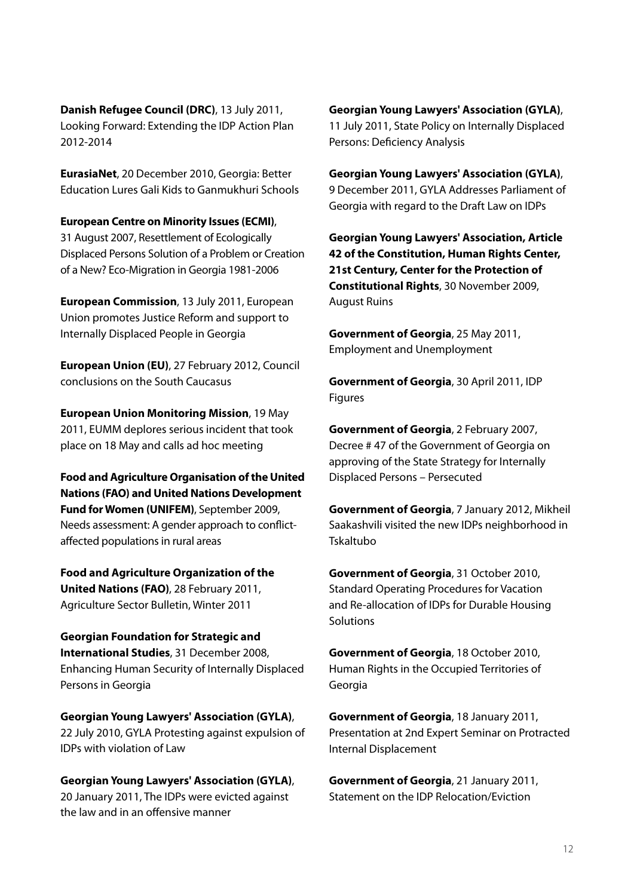**[Danish Refugee Council \(DRC\)](http://www.internal-displacement.org/8025708F004CE90B/%28httpDocuments%29/5528EC9C604835D2C12578CD0032EB12/$file/Extending-the-IDP-Action-Plan-Conference-Report.pdf)**, 13 July 2011, [Looking Forward: Extending the IDP Action Plan](http://www.internal-displacement.org/8025708F004CE90B/%28httpDocuments%29/5528EC9C604835D2C12578CD0032EB12/$file/Extending-the-IDP-Action-Plan-Conference-Report.pdf)  [2012-2014](http://www.internal-displacement.org/8025708F004CE90B/%28httpDocuments%29/5528EC9C604835D2C12578CD0032EB12/$file/Extending-the-IDP-Action-Plan-Conference-Report.pdf)

**EurasiaNet**[, 20 December 2010, Georgia: Better](http://www.eurasianet.org/node/62610)  [Education Lures Gali Kids to Ganmukhuri Schools](http://www.eurasianet.org/node/62610)

**[European Centre on Minority Issues \(ECMI\)](http://www.internal-displacement.org/8025708F004CE90B/%28httpDocuments%29/77A490C9CE6A64B5C12579AD006A884C/$file/Geo+eco+migrants.pdf)**,

[31 August 2007, Resettlement of Ecologically](http://www.internal-displacement.org/8025708F004CE90B/%28httpDocuments%29/77A490C9CE6A64B5C12579AD006A884C/$file/Geo+eco+migrants.pdf)  [Displaced Persons Solution of a Problem or Creation](http://www.internal-displacement.org/8025708F004CE90B/%28httpDocuments%29/77A490C9CE6A64B5C12579AD006A884C/$file/Geo+eco+migrants.pdf) [of a New? Eco-Migration in Georgia 1981-2006](http://www.internal-displacement.org/8025708F004CE90B/%28httpDocuments%29/77A490C9CE6A64B5C12579AD006A884C/$file/Geo+eco+migrants.pdf)

**European Commission**[, 13 July 2011, European](http://europa.eu/rapid/pressReleasesAction.do?reference=IP/11/880&format=HTML&aged=0&language=EN&guiLanguage=en)  [Union promotes Justice Reform and support to](http://europa.eu/rapid/pressReleasesAction.do?reference=IP/11/880&format=HTML&aged=0&language=EN&guiLanguage=en) [Internally Displaced People in Georgia](http://europa.eu/rapid/pressReleasesAction.do?reference=IP/11/880&format=HTML&aged=0&language=EN&guiLanguage=en)

**European Union (EU)**[, 27 February 2012, Council](http://www.consilium.europa.eu/uedocs/cms_data/docs/pressdata/EN/foraff/128197.pdf)  [conclusions on the South Caucasus](http://www.consilium.europa.eu/uedocs/cms_data/docs/pressdata/EN/foraff/128197.pdf)

**[European Union Monitoring Mission](http://eumm.eu/en/press_and_public_information/press_releases/2634/?year=2011&month=12)**, 19 May [2011, EUMM deplores serious incident that took](http://eumm.eu/en/press_and_public_information/press_releases/2634/?year=2011&month=12)  [place on 18 May and calls ad hoc meeting](http://eumm.eu/en/press_and_public_information/press_releases/2634/?year=2011&month=12)

**Food and Agriculture Organisation of the United Nations (FAO) and United Nations Development Fund for Women (UNIFEM)**, September 2009, Needs assessment: A gender approach to conflictaffected populations in rural areas

**[Food and Agriculture Organization of the](http://www.internal-displacement.org/8025708F004CE90B/%28httpDocuments%29/4AFD0B45B594336DC125787E004AADF3/$file/UN+FAO+-+Ag+Sector+B#30C47C.pdf)  [United Nations \(FAO\)](http://www.internal-displacement.org/8025708F004CE90B/%28httpDocuments%29/4AFD0B45B594336DC125787E004AADF3/$file/UN+FAO+-+Ag+Sector+B#30C47C.pdf)**, 28 February 2011, [Agriculture Sector Bulletin, Winter 2011](http://www.internal-displacement.org/8025708F004CE90B/%28httpDocuments%29/4AFD0B45B594336DC125787E004AADF3/$file/UN+FAO+-+Ag+Sector+B#30C47C.pdf)

**[Georgian Foundation for Strategic and](http://www.internal-displacement.org/8025708F004CE90B/%28httpDocuments%29/8C580FA46C904AD9C1257869006E30D3/$file/Gegeshidze.pdf)  [International Studies](http://www.internal-displacement.org/8025708F004CE90B/%28httpDocuments%29/8C580FA46C904AD9C1257869006E30D3/$file/Gegeshidze.pdf)**, 31 December 2008, [Enhancing Human Security of Internally Displaced](http://www.internal-displacement.org/8025708F004CE90B/%28httpDocuments%29/8C580FA46C904AD9C1257869006E30D3/$file/Gegeshidze.pdf)  [Persons in Georgia](http://www.internal-displacement.org/8025708F004CE90B/%28httpDocuments%29/8C580FA46C904AD9C1257869006E30D3/$file/Gegeshidze.pdf)

**[Georgian Young Lawyers' Association \(GYLA\)](http://gyla.ge/index.php?option=com_content&view=article&id=777%3Agyla-protesting-against-expulsion-of-idps-with-violation-of-law&catid=45%3Anews-eng&Itemid=1&lang=en)**, [22 July 2010, GYLA Protesting against expulsion of](http://gyla.ge/index.php?option=com_content&view=article&id=777%3Agyla-protesting-against-expulsion-of-idps-with-violation-of-law&catid=45%3Anews-eng&Itemid=1&lang=en) [IDPs with violation of Law](http://gyla.ge/index.php?option=com_content&view=article&id=777%3Agyla-protesting-against-expulsion-of-idps-with-violation-of-law&catid=45%3Anews-eng&Itemid=1&lang=en)

**[Georgian Young Lawyers' Association \(GYLA\)](http://gyla.ge/index.php?option=com_content&view=article&id=847%3Athe-idps-were-evicted-against-the-law-and-in-an-offensive-manner&catid=45%3Anews-eng&Itemid=1&lang=en)**, [20 January 2011, The IDPs were evicted against](http://gyla.ge/index.php?option=com_content&view=article&id=847%3Athe-idps-were-evicted-against-the-law-and-in-an-offensive-manner&catid=45%3Anews-eng&Itemid=1&lang=en)  [the law and in an offensive manner](http://gyla.ge/index.php?option=com_content&view=article&id=847%3Athe-idps-were-evicted-against-the-law-and-in-an-offensive-manner&catid=45%3Anews-eng&Itemid=1&lang=en)

**[Georgian Young Lawyers' Association \(GYLA\)](http://gyla.ge/attachments/1008_State Policy on Internally Displaced Persons, Deficiency Analysis.pdf)**, [11 July 2011, State Policy on Internally Displaced](http://gyla.ge/attachments/1008_State Policy on Internally Displaced Persons, Deficiency Analysis.pdf) [Persons: Deficiency Analysis](http://gyla.ge/attachments/1008_State Policy on Internally Displaced Persons, Deficiency Analysis.pdf)

**[Georgian Young Lawyers' Association \(GYLA\)](http://www.gyla.ge/index.php?option=com_content&view=article&id=1136:gyla-addresses-parliament-of-georgia-with-regard-to-the-draft-law-on-idps-&catid=45:news-eng&Itemid=1&lang=en)**, [9 December 2011, GYLA Addresses Parliament of](http://www.gyla.ge/index.php?option=com_content&view=article&id=1136:gyla-addresses-parliament-of-georgia-with-regard-to-the-draft-law-on-idps-&catid=45:news-eng&Itemid=1&lang=en)  [Georgia with regard to the Draft Law on IDPs](http://www.gyla.ge/index.php?option=com_content&view=article&id=1136:gyla-addresses-parliament-of-georgia-with-regard-to-the-draft-law-on-idps-&catid=45:news-eng&Itemid=1&lang=en)

**[Georgian Young Lawyers' Association, Article](http://www.internal-displacement.org/8025708F004CE90B/%28httpDocuments%29/F31DC9AF75E9EABDC12578EF0076DD4A/$file/Etnikuri_cmenda_Engl#49FD28.pdf)  [42 of the Constitution, Human Rights Center,](http://www.internal-displacement.org/8025708F004CE90B/%28httpDocuments%29/F31DC9AF75E9EABDC12578EF0076DD4A/$file/Etnikuri_cmenda_Engl#49FD28.pdf)  [21st Century, Center for the Protection of](http://www.internal-displacement.org/8025708F004CE90B/%28httpDocuments%29/F31DC9AF75E9EABDC12578EF0076DD4A/$file/Etnikuri_cmenda_Engl#49FD28.pdf)  [Constitutional Rights](http://www.internal-displacement.org/8025708F004CE90B/%28httpDocuments%29/F31DC9AF75E9EABDC12578EF0076DD4A/$file/Etnikuri_cmenda_Engl#49FD28.pdf)**, 30 November 2009, [August Ruins](http://www.internal-displacement.org/8025708F004CE90B/%28httpDocuments%29/F31DC9AF75E9EABDC12578EF0076DD4A/$file/Etnikuri_cmenda_Engl#49FD28.pdf)

**[Government of Georgia](http://geostat.ge/index.php?action=page&p_id=146&lang=eng)**, 25 May 2011, [Employment and Unemployment](http://geostat.ge/index.php?action=page&p_id=146&lang=eng)

**[Government of Georgia](http://mra.gov.ge/main/ENG#section/50)**, 30 April 2011, IDP [Figures](http://mra.gov.ge/main/ENG#section/50)

**[Government of Georgia](http://www.internal-displacement.org/8025708F004CE90B/%28httpDocuments%29/CC4E01DED8D97366C12575A60031A7B5/$file/State+Strategy+for+IDP+-+ENG.pdf)**, 2 February 2007, [Decree # 47 of the Government of Georgia on](http://www.internal-displacement.org/8025708F004CE90B/%28httpDocuments%29/CC4E01DED8D97366C12575A60031A7B5/$file/State+Strategy+for+IDP+-+ENG.pdf)  [approving of the State Strategy for Internally](http://www.internal-displacement.org/8025708F004CE90B/%28httpDocuments%29/CC4E01DED8D97366C12575A60031A7B5/$file/State+Strategy+for+IDP+-+ENG.pdf)  [Displaced Persons – Persecuted](http://www.internal-displacement.org/8025708F004CE90B/%28httpDocuments%29/CC4E01DED8D97366C12575A60031A7B5/$file/State+Strategy+for+IDP+-+ENG.pdf)

**[Government of Georgia](http://mra.gov.ge/main/ENG#readmore/687)**, 7 January 2012, Mikheil [Saakashvili visited the new IDPs neighborhood in](http://mra.gov.ge/main/ENG#readmore/687)  [Tskaltubo](http://mra.gov.ge/main/ENG#readmore/687)

**[Government of Georgia](http://www.internal-displacement.org/8025708F004CE90B/%28httpDocuments%29/17EC5BE5DE237C62C12578D400441E8C/$file/SOPs+Evictions+-+Ste#40A91F.doc)**, 31 October 2010, [Standard Operating Procedures for Vacation](http://www.internal-displacement.org/8025708F004CE90B/%28httpDocuments%29/17EC5BE5DE237C62C12578D400441E8C/$file/SOPs+Evictions+-+Ste#40A91F.doc)  [and Re-allocation of IDPs for Durable Housing](http://www.internal-displacement.org/8025708F004CE90B/%28httpDocuments%29/17EC5BE5DE237C62C12578D400441E8C/$file/SOPs+Evictions+-+Ste#40A91F.doc)  **[Solutions](http://www.internal-displacement.org/8025708F004CE90B/%28httpDocuments%29/17EC5BE5DE237C62C12578D400441E8C/$file/SOPs+Evictions+-+Ste#40A91F.doc)** 

**[Government of Georgia](http://www.osce.org/home/73289)**, 18 October 2010, [Human Rights in the Occupied Territories of](http://www.osce.org/home/73289)  **[Georgia](http://www.osce.org/home/73289)** 

**Government of Georgia**, 18 January 2011, Presentation at 2nd Expert Seminar on Protracted Internal Displacement

**[Government of Georgia](http://mra.gov.ge/main/ENG#readmore/567)**, 21 January 2011, [Statement on the IDP Relocation/Eviction](http://mra.gov.ge/main/ENG#readmore/567)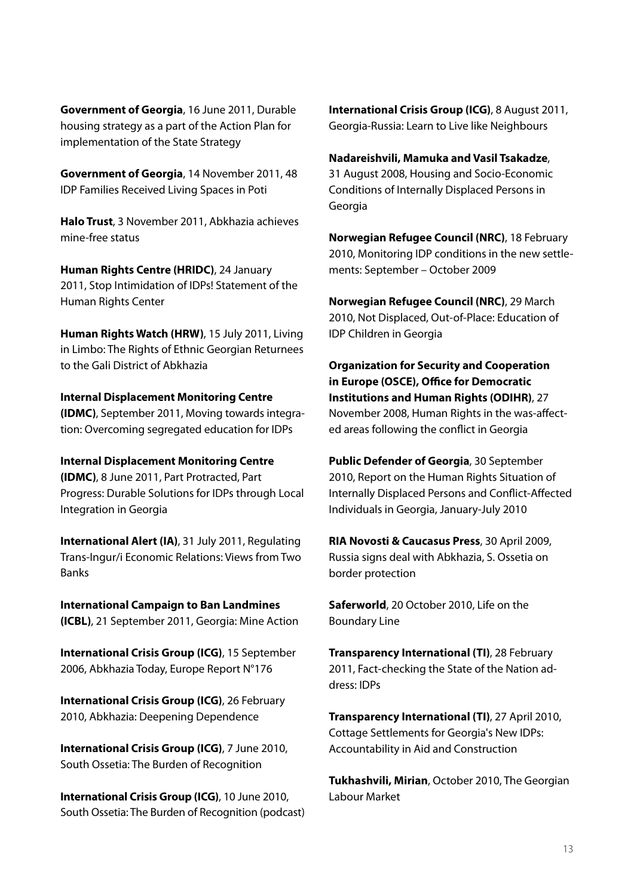**[Government of Georgia](http://www.internal-displacement.org/8025708F004CE90B/%28httpDocuments%29/B1B35728AC520D2EC12579690046822A/$file/MRA+Presentation+1.ppt)**, 16 June 2011, Durable [housing strategy as a part of the Action Plan for](http://www.internal-displacement.org/8025708F004CE90B/%28httpDocuments%29/B1B35728AC520D2EC12579690046822A/$file/MRA+Presentation+1.ppt)  [implementation of the State Strategy](http://www.internal-displacement.org/8025708F004CE90B/%28httpDocuments%29/B1B35728AC520D2EC12579690046822A/$file/MRA+Presentation+1.ppt)

**[Government of Georgia](http://mra.gov.ge/main/ENG#readmore/664)**, 14 November 2011, 48 [IDP Families Received Living Spaces in Poti](http://mra.gov.ge/main/ENG#readmore/664)

**Halo Trust**[, 3 November 2011, Abkhazia achieves](http://www.halotrust.org/media/news/abkhazia_achieves_mine_free_status.aspx)  [mine-free status](http://www.halotrust.org/media/news/abkhazia_achieves_mine_free_status.aspx)

**[Human Rights Centre \(HRIDC\)](http://humanrightshouse.org/Articles/15809.html)**, 24 January [2011, Stop Intimidation of IDPs! Statement of the](http://humanrightshouse.org/Articles/15809.html)  [Human Rights Center](http://humanrightshouse.org/Articles/15809.html)

**[Human Rights Watch \(HRW\)](http://www.internal-displacement.org/8025708F004CE90B/%28httpDocuments%29/7B0AFEB3900514C1C12578CE004A3727/$file/HRW+Gali.pdf)**, 15 July 2011, Living [in Limbo: The Rights of Ethnic Georgian Returnees](http://www.internal-displacement.org/8025708F004CE90B/%28httpDocuments%29/7B0AFEB3900514C1C12578CE004A3727/$file/HRW+Gali.pdf)  [to the Gali District of Abkhazia](http://www.internal-displacement.org/8025708F004CE90B/%28httpDocuments%29/7B0AFEB3900514C1C12578CE004A3727/$file/HRW+Gali.pdf)

**[Internal Displacement Monitoring Centre](http://www.internal-displacement.org/8025708F004BE3B1/%28httpInfoFiles%29/F0200A8B4CE7DEACC1257904002B0D6E/$file/moving-towards-integration-web.pdf)  (IDMC)**[, September 2011, Moving towards integra](http://www.internal-displacement.org/8025708F004BE3B1/%28httpInfoFiles%29/F0200A8B4CE7DEACC1257904002B0D6E/$file/moving-towards-integration-web.pdf)[tion: Overcoming segregated education for IDPs](http://www.internal-displacement.org/8025708F004BE3B1/%28httpInfoFiles%29/F0200A8B4CE7DEACC1257904002B0D6E/$file/moving-towards-integration-web.pdf)

**[Internal Displacement Monitoring Centre](http://www.internal-displacement.org/8025708F004CE90B/%28httpDocuments%29/06B9D74789BF7A1AC1257929003D9E25/$file/brookings-idmc_resol#4FD4CA.pdf)  (IDMC)**[, 8 June 2011, Part Protracted, Part](http://www.internal-displacement.org/8025708F004CE90B/%28httpDocuments%29/06B9D74789BF7A1AC1257929003D9E25/$file/brookings-idmc_resol#4FD4CA.pdf)  [Progress: Durable Solutions for IDPs through Local](http://www.internal-displacement.org/8025708F004CE90B/%28httpDocuments%29/06B9D74789BF7A1AC1257929003D9E25/$file/brookings-idmc_resol#4FD4CA.pdf)  [Integration in Georgia](http://www.internal-displacement.org/8025708F004CE90B/%28httpDocuments%29/06B9D74789BF7A1AC1257929003D9E25/$file/brookings-idmc_resol#4FD4CA.pdf)

**International Alert (IA)**[, 31 July 2011, Regulating](http://www.international-alert.org/sites/default/files/publications/072011TransIngEconRelnsEN.pdf)  [Trans-Ingur/i Economic Relations: Views from Two](http://www.international-alert.org/sites/default/files/publications/072011TransIngEconRelnsEN.pdf)  [Banks](http://www.international-alert.org/sites/default/files/publications/072011TransIngEconRelnsEN.pdf)

**[International Campaign to Ban Landmines](http://www.the-monitor.org/index.php/cp/display/region_profiles/theme/991)  (ICBL)**[, 21 September 2011, Georgia: Mine Action](http://www.the-monitor.org/index.php/cp/display/region_profiles/theme/991)

**[International Crisis Group \(ICG\)](http://www.crisisgroup.org/home/index.cfm?l=1&id=4377)**, 15 September [2006, Abkhazia Today, Europe Report N°176](http://www.crisisgroup.org/home/index.cfm?l=1&id=4377)

**[International Crisis Group \(ICG\)](http://www.internal-displacement.org/8025708F004CE90B/%28httpDocuments%29/8984AC0443E56020C12576D6005972F0/$file/202_abkhazia___deep#10118B7.pdf)**, 26 February [2010, Abkhazia: Deepening Dependence](http://www.internal-displacement.org/8025708F004CE90B/%28httpDocuments%29/8984AC0443E56020C12576D6005972F0/$file/202_abkhazia___deep#10118B7.pdf)

**[International Crisis Group \(ICG\)](http://www.internal-displacement.org/8025708F004CE90B/%28httpDocuments%29/549FFDF2374A53D2C125773B0041CC92/$file/ICG+South+Ossetia+-+The+#8E.pdf)**, 7 June 2010, [South Ossetia: The Burden of Recognition](http://www.internal-displacement.org/8025708F004CE90B/%28httpDocuments%29/549FFDF2374A53D2C125773B0041CC92/$file/ICG+South+Ossetia+-+The+#8E.pdf)

**[International Crisis Group \(ICG\)](http://www.crisisgroup.org/en/publication-type/podcasts/south-ossetia-burden-of-recognition.aspx)**, 10 June 2010, [South Ossetia: The Burden of Recognition \(podcast\)](http://www.crisisgroup.org/en/publication-type/podcasts/south-ossetia-burden-of-recognition.aspx) **[International Crisis Group \(ICG\)](http://www.crisisgroup.org/%7E/media/Files/europe/caucasus/georgia/B65-- Georgia-Russia- Learn to Live like Neighbours.pdf)**, 8 August 2011, [Georgia-Russia: Learn to Live like Neighbours](http://www.crisisgroup.org/%7E/media/Files/europe/caucasus/georgia/B65-- Georgia-Russia- Learn to Live like Neighbours.pdf)

**[Nadareishvili, Mamuka and Vasil Tsakadze](http://www.internal-displacement.org/8025708F004CE90B/%28httpDocuments%29/969F70B6349FFEF1C12578F0006E1EA1/$file/study+on+IDP+housing.pdf)**, [31 August 2008, Housing and Socio-Economic](http://www.internal-displacement.org/8025708F004CE90B/%28httpDocuments%29/969F70B6349FFEF1C12578F0006E1EA1/$file/study+on+IDP+housing.pdf)  [Conditions of Internally Displaced Persons in](http://www.internal-displacement.org/8025708F004CE90B/%28httpDocuments%29/969F70B6349FFEF1C12578F0006E1EA1/$file/study+on+IDP+housing.pdf)  [Georgia](http://www.internal-displacement.org/8025708F004CE90B/%28httpDocuments%29/969F70B6349FFEF1C12578F0006E1EA1/$file/study+on+IDP+housing.pdf)

**Norwegian Refugee Council (NRC)**, 18 February 2010, Monitoring IDP conditions in the new settlements: September – October 2009

**[Norwegian Refugee Council \(NRC\)](http://www.internal-displacement.org/8025708F004CE90B/%28httpDocuments%29/7D6BA7405A7E3C24C12576F700619CC2/$file/Not-Displaced_Out-of-Place.pdf)**, 29 March [2010, Not Displaced, Out-of-Place: Education of](http://www.internal-displacement.org/8025708F004CE90B/%28httpDocuments%29/7D6BA7405A7E3C24C12576F700619CC2/$file/Not-Displaced_Out-of-Place.pdf)  [IDP Children in Georgia](http://www.internal-displacement.org/8025708F004CE90B/%28httpDocuments%29/7D6BA7405A7E3C24C12576F700619CC2/$file/Not-Displaced_Out-of-Place.pdf)

**[Organization for Security and Cooperation](http://www.internal-displacement.org/8025708F004CE90B/%28httpDocuments%29/6E4F7E8D6D1E3062C12575C90058AF5B/$file/35656_en+OSCE+ODHIR.pdf)  [in Europe \(OSCE\), Office for Democratic](http://www.internal-displacement.org/8025708F004CE90B/%28httpDocuments%29/6E4F7E8D6D1E3062C12575C90058AF5B/$file/35656_en+OSCE+ODHIR.pdf)  [Institutions and Human Rights \(ODIHR\)](http://www.internal-displacement.org/8025708F004CE90B/%28httpDocuments%29/6E4F7E8D6D1E3062C12575C90058AF5B/$file/35656_en+OSCE+ODHIR.pdf)**, 27 [November 2008, Human Rights in the was-affect](http://www.internal-displacement.org/8025708F004CE90B/%28httpDocuments%29/6E4F7E8D6D1E3062C12575C90058AF5B/$file/35656_en+OSCE+ODHIR.pdf)[ed areas following the conflict in Georgia](http://www.internal-displacement.org/8025708F004CE90B/%28httpDocuments%29/6E4F7E8D6D1E3062C12575C90058AF5B/$file/35656_en+OSCE+ODHIR.pdf)

**[Public Defender of Georgia](http://www.ombudsman.ge/files/downloads/en/njyyccudreysvwktqszj.pdf)**, 30 September [2010, Report on the Human Rights Situation of](http://www.ombudsman.ge/files/downloads/en/njyyccudreysvwktqszj.pdf)  [Internally Displaced Persons and Conflict-Affected](http://www.ombudsman.ge/files/downloads/en/njyyccudreysvwktqszj.pdf)  [Individuals in Georgia, January-July 2010](http://www.ombudsman.ge/files/downloads/en/njyyccudreysvwktqszj.pdf)

**[RIA Novosti & Caucasus Press](http://en.rian.ru/world/20090430/150015055.html)**, 30 April 2009, [Russia signs deal with Abkhazia, S. Ossetia on](http://en.rian.ru/world/20090430/150015055.html)  [border protection](http://en.rian.ru/world/20090430/150015055.html)

**Saferworld**[, 20 October 2010, Life on the](http://www.saferworld.org.uk/smartweb/resources/view-resource/482)  [Boundary Line](http://www.saferworld.org.uk/smartweb/resources/view-resource/482)

**[Transparency International \(TI\)](http://transparency.ge/en/blog/pfact-checking-state-nation-address-idpsp)**, 28 February [2011, Fact-checking the State of the Nation ad](http://transparency.ge/en/blog/pfact-checking-state-nation-address-idpsp)[dress: IDPs](http://transparency.ge/en/blog/pfact-checking-state-nation-address-idpsp)

**[Transparency International \(TI\)](http://www.internal-displacement.org/8025708F004CE90B/%28httpDocuments%29/B14FCD4A49C6328AC125771300423E41/$file/Report_IDP_Cottage_Sett#1D5.pdf)**, 27 April 2010, [Cottage Settlements for Georgia's New IDPs:](http://www.internal-displacement.org/8025708F004CE90B/%28httpDocuments%29/B14FCD4A49C6328AC125771300423E41/$file/Report_IDP_Cottage_Sett#1D5.pdf)  [Accountability in Aid and Construction](http://www.internal-displacement.org/8025708F004CE90B/%28httpDocuments%29/B14FCD4A49C6328AC125771300423E41/$file/Report_IDP_Cottage_Sett#1D5.pdf)

**Tukhashvili, Mirian**[, October 2010, The Georgian](http://www.internal-displacement.org/8025708F004CE90B/%28httpDocuments%29/4809E6B94E1471CFC12579AD0062D430/$file/Labour+Market+Resear#997E31.pdf)  [Labour Market](http://www.internal-displacement.org/8025708F004CE90B/%28httpDocuments%29/4809E6B94E1471CFC12579AD0062D430/$file/Labour+Market+Resear#997E31.pdf)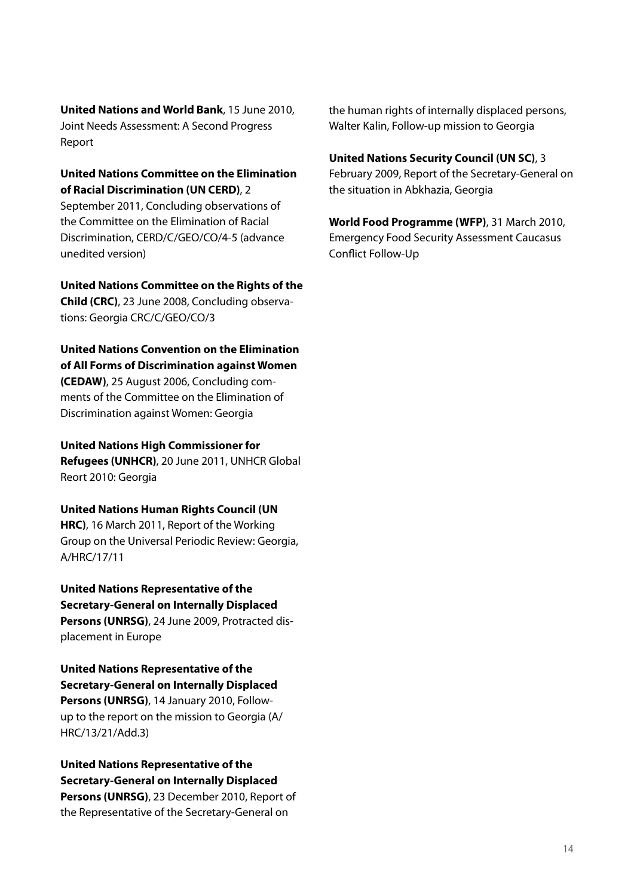**[United Nations and World Bank](http://siteresources.worldbank.org/GEORGIAEXTN/Resources/jna2.pdf)**, 15 June 2010, [Joint Needs Assessment: A Second Progress](http://siteresources.worldbank.org/GEORGIAEXTN/Resources/jna2.pdf)  [Report](http://siteresources.worldbank.org/GEORGIAEXTN/Resources/jna2.pdf)

### **[United Nations Committee on the Elimination](http://www2.ohchr.org/english/bodies/cerd/docs/GeorgiaCObs_CERD79.pdf)  [of Racial Discrimination \(UN CERD\)](http://www2.ohchr.org/english/bodies/cerd/docs/GeorgiaCObs_CERD79.pdf)**, 2

[September 2011, Concluding observations of](http://www2.ohchr.org/english/bodies/cerd/docs/GeorgiaCObs_CERD79.pdf)  [the Committee on the Elimination of Racial](http://www2.ohchr.org/english/bodies/cerd/docs/GeorgiaCObs_CERD79.pdf)  [Discrimination, CERD/C/GEO/CO/4-5 \(advance](http://www2.ohchr.org/english/bodies/cerd/docs/GeorgiaCObs_CERD79.pdf)  [unedited version\)](http://www2.ohchr.org/english/bodies/cerd/docs/GeorgiaCObs_CERD79.pdf)

**[United Nations Committee on the Rights of the](http://www.internal-displacement.org/8025708F004CE90B/%28httpDocuments%29/DE305B0077140A3DC12578D3005ACE07/$file/CRC.C.GEO.CO.3.doc)  Child (CRC)**[, 23 June 2008, Concluding observa](http://www.internal-displacement.org/8025708F004CE90B/%28httpDocuments%29/DE305B0077140A3DC12578D3005ACE07/$file/CRC.C.GEO.CO.3.doc)[tions: Georgia CRC/C/GEO/CO/3](http://www.internal-displacement.org/8025708F004CE90B/%28httpDocuments%29/DE305B0077140A3DC12578D3005ACE07/$file/CRC.C.GEO.CO.3.doc)

**[United Nations Convention on the Elimination](http://www.unhchr.ch/tbs/doc.nsf/898586b1dc7b4043c1256a450044f331/904b60a20b7b0417c12572330055c8d2/$FILE/N0647834.pdf)  [of All Forms of Discrimination against Women](http://www.unhchr.ch/tbs/doc.nsf/898586b1dc7b4043c1256a450044f331/904b60a20b7b0417c12572330055c8d2/$FILE/N0647834.pdf)  (CEDAW)**[, 25 August 2006, Concluding com](http://www.unhchr.ch/tbs/doc.nsf/898586b1dc7b4043c1256a450044f331/904b60a20b7b0417c12572330055c8d2/$FILE/N0647834.pdf)[ments of the Committee on the Elimination of](http://www.unhchr.ch/tbs/doc.nsf/898586b1dc7b4043c1256a450044f331/904b60a20b7b0417c12572330055c8d2/$FILE/N0647834.pdf)  [Discrimination against Women: Georgia](http://www.unhchr.ch/tbs/doc.nsf/898586b1dc7b4043c1256a450044f331/904b60a20b7b0417c12572330055c8d2/$FILE/N0647834.pdf)

**[United Nations High Commissioner for](http://www.unhcr.org/4dfdbf580.html)  Refugees (UNHCR)**[, 20 June 2011, UNHCR Global](http://www.unhcr.org/4dfdbf580.html) 

[Reort 2010: Georgia](http://www.unhcr.org/4dfdbf580.html)

**[United Nations Human Rights Council \(UN](http://daccess-dds-ny.un.org/doc/UNDOC/GEN/G11/118/21/PDF/G1111821.pdf?OpenElement)** 

**HRC)**[, 16 March 2011, Report of the Working](http://daccess-dds-ny.un.org/doc/UNDOC/GEN/G11/118/21/PDF/G1111821.pdf?OpenElement)  [Group on the Universal Periodic Review: Georgia,](http://daccess-dds-ny.un.org/doc/UNDOC/GEN/G11/118/21/PDF/G1111821.pdf?OpenElement)  [A/HRC/17/11](http://daccess-dds-ny.un.org/doc/UNDOC/GEN/G11/118/21/PDF/G1111821.pdf?OpenElement)

**[United Nations Representative of the](http://www.brookings.edu/speeches/2009/0624_europe_kalin.aspx)  [Secretary-General on Internally Displaced](http://www.brookings.edu/speeches/2009/0624_europe_kalin.aspx)  Persons (UNRSG)**[, 24 June 2009, Protracted dis](http://www.brookings.edu/speeches/2009/0624_europe_kalin.aspx)[placement in Europe](http://www.brookings.edu/speeches/2009/0624_europe_kalin.aspx)

**[United Nations Representative of the](http://www.internal-displacement.org/8025708F004CE90B/%28httpDocuments%29/3AEE147D26231447C12576D6005A7E1D/$file/A-HRC-13-21-Add3.doc)  [Secretary-General on Internally Displaced](http://www.internal-displacement.org/8025708F004CE90B/%28httpDocuments%29/3AEE147D26231447C12576D6005A7E1D/$file/A-HRC-13-21-Add3.doc)  Persons (UNRSG)**[, 14 January 2010, Follow](http://www.internal-displacement.org/8025708F004CE90B/%28httpDocuments%29/3AEE147D26231447C12576D6005A7E1D/$file/A-HRC-13-21-Add3.doc)[up to the report on the mission to Georgia \(A/](http://www.internal-displacement.org/8025708F004CE90B/%28httpDocuments%29/3AEE147D26231447C12576D6005A7E1D/$file/A-HRC-13-21-Add3.doc) [HRC/13/21/Add.3\)](http://www.internal-displacement.org/8025708F004CE90B/%28httpDocuments%29/3AEE147D26231447C12576D6005A7E1D/$file/A-HRC-13-21-Add3.doc)

**[United Nations Representative of the](http://www.internal-displacement.org/8025708F004CE90B/%28httpDocuments%29/67F164816B0CA41BC12578630062E1B8/$file/Geo+Kalin+2010.pdf)  [Secretary-General on Internally Displaced](http://www.internal-displacement.org/8025708F004CE90B/%28httpDocuments%29/67F164816B0CA41BC12578630062E1B8/$file/Geo+Kalin+2010.pdf)  Persons (UNRSG)**[, 23 December 2010, Report of](http://www.internal-displacement.org/8025708F004CE90B/%28httpDocuments%29/67F164816B0CA41BC12578630062E1B8/$file/Geo+Kalin+2010.pdf)  [the Representative of the Secretary-General on](http://www.internal-displacement.org/8025708F004CE90B/%28httpDocuments%29/67F164816B0CA41BC12578630062E1B8/$file/Geo+Kalin+2010.pdf) 

[the human rights of internally displaced persons,](http://www.internal-displacement.org/8025708F004CE90B/%28httpDocuments%29/67F164816B0CA41BC12578630062E1B8/$file/Geo+Kalin+2010.pdf)  [Walter Kalin, Follow-up mission to Georgia](http://www.internal-displacement.org/8025708F004CE90B/%28httpDocuments%29/67F164816B0CA41BC12578630062E1B8/$file/Geo+Kalin+2010.pdf)

### **[United Nations Security Council \(UN SC\)](http://daccess-dds-ny.un.org/doc/UNDOC/GEN/N09/223/52/PDF/N0922352.pdf?OpenElement)**, 3

[February 2009, Report of the Secretary-General on](http://daccess-dds-ny.un.org/doc/UNDOC/GEN/N09/223/52/PDF/N0922352.pdf?OpenElement)  [the situation in Abkhazia, Georgia](http://daccess-dds-ny.un.org/doc/UNDOC/GEN/N09/223/52/PDF/N0922352.pdf?OpenElement)

**[World Food Programme \(WFP\)](http://documents.wfp.org/stellent/groups/public/documents/ena/wfp217990.pdf)**, 31 March 2010, [Emergency Food Security Assessment Caucasus](http://documents.wfp.org/stellent/groups/public/documents/ena/wfp217990.pdf)  [Conflict Follow-Up](http://documents.wfp.org/stellent/groups/public/documents/ena/wfp217990.pdf)